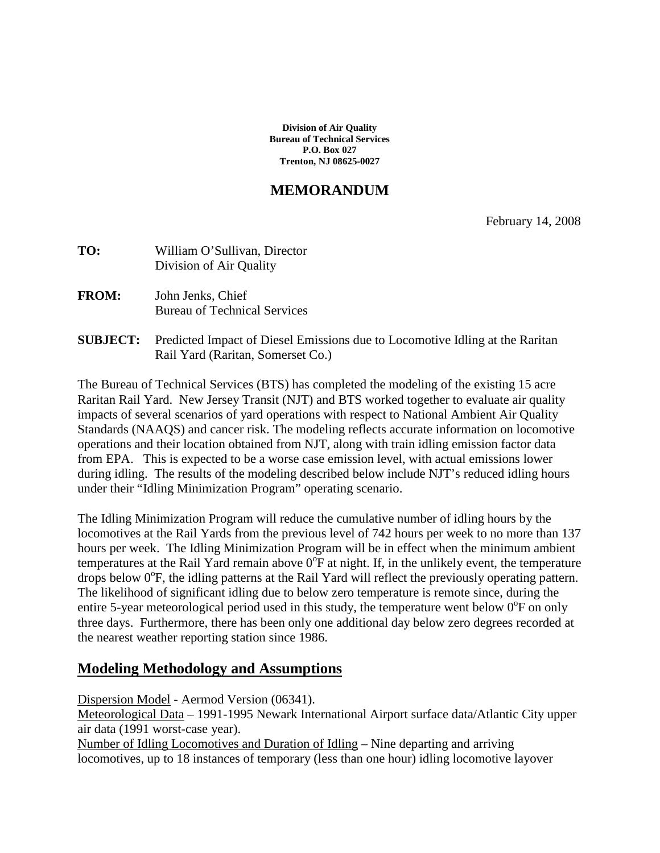**Division of Air Quality Bureau of Technical Services P.O. Box 027 Trenton, NJ 08625-0027**

# **MEMORANDUM**

February 14, 2008

| TO: | William O'Sullivan, Director |  |  |
|-----|------------------------------|--|--|
|     | Division of Air Quality      |  |  |
|     |                              |  |  |

**FROM:** John Jenks, Chief Bureau of Technical Services

#### **SUBJECT:** Predicted Impact of Diesel Emissions due to Locomotive Idling at the Raritan Rail Yard (Raritan, Somerset Co.)

The Bureau of Technical Services (BTS) has completed the modeling of the existing 15 acre Raritan Rail Yard. New Jersey Transit (NJT) and BTS worked together to evaluate air quality impacts of several scenarios of yard operations with respect to National Ambient Air Quality Standards (NAAQS) and cancer risk. The modeling reflects accurate information on locomotive operations and their location obtained from NJT, along with train idling emission factor data from EPA. This is expected to be a worse case emission level, with actual emissions lower during idling. The results of the modeling described below include NJT's reduced idling hours under their "Idling Minimization Program" operating scenario.

The Idling Minimization Program will reduce the cumulative number of idling hours by the locomotives at the Rail Yards from the previous level of 742 hours per week to no more than 137 hours per week. The Idling Minimization Program will be in effect when the minimum ambient temperatures at the Rail Yard remain above  $0^{\circ}$ F at night. If, in the unlikely event, the temperature drops below 0°F, the idling patterns at the Rail Yard will reflect the previously operating pattern. The likelihood of significant idling due to below zero temperature is remote since, during the entire 5-year meteorological period used in this study, the temperature went below  $0^{\circ}$ F on only three days. Furthermore, there has been only one additional day below zero degrees recorded at the nearest weather reporting station since 1986.

# **Modeling Methodology and Assumptions**

Dispersion Model - Aermod Version (06341).

Meteorological Data – 1991-1995 Newark International Airport surface data/Atlantic City upper air data (1991 worst-case year).

Number of Idling Locomotives and Duration of Idling – Nine departing and arriving locomotives, up to 18 instances of temporary (less than one hour) idling locomotive layover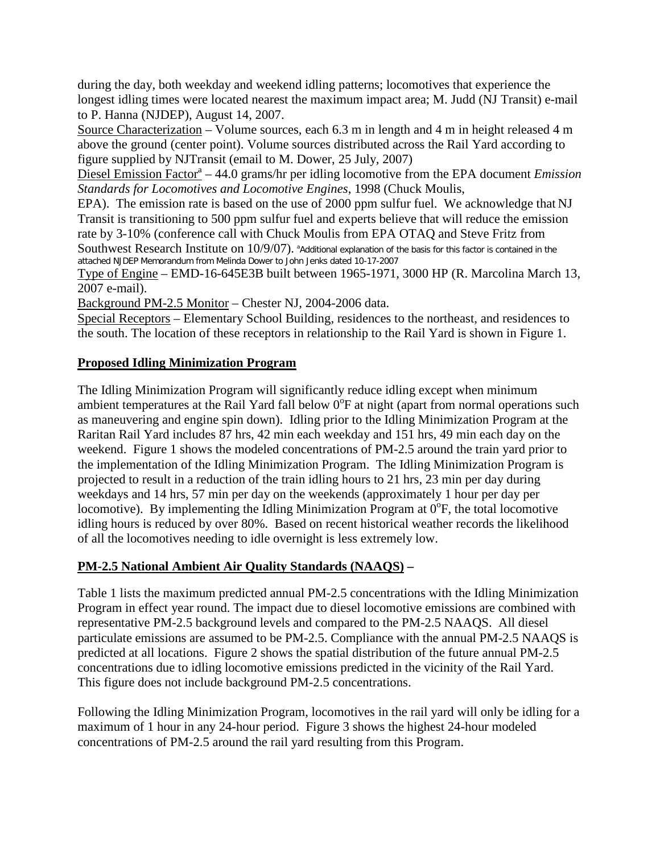during the day, both weekday and weekend idling patterns; locomotives that experience the longest idling times were located nearest the maximum impact area; M. Judd (NJ Transit) e-mail to P. Hanna (NJDEP), August 14, 2007.

Source Characterization – Volume sources, each 6.3 m in length and 4 m in height released 4 m above the ground (center point). Volume sources distributed across the Rail Yard according to figure supplied by NJTransit (email to M. Dower, 25 July, 2007)

Diesel Emission Factor<sup>a</sup> – 44.0 grams/hr per idling locomotive from the EPA document *Emission Standards for Locomotives and Locomotive Engines*, 1998 (Chuck Moulis,

EPA). The emission rate is based on the use of 2000 ppm sulfur fuel. We acknowledge that NJ Transit is transitioning to 500 ppm sulfur fuel and experts believe that will reduce the emission rate by 3-10% (conference call with Chuck Moulis from EPA OTAQ and Steve Fritz from

Southwest Research Institute on  $10/9/07$ ).  $^{\circ}$ Additional explanation of the basis for this factor is contained in the attached NJDEP Memorandum from Melinda Dower to John Jenks dated 10-17-2007

Type of Engine – EMD-16-645E3B built between 1965-1971, 3000 HP (R. Marcolina March 13, 2007 e-mail).

Background PM-2.5 Monitor – Chester NJ, 2004-2006 data.

Special Receptors – Elementary School Building, residences to the northeast, and residences to the south. The location of these receptors in relationship to the Rail Yard is shown in Figure 1.

#### **Proposed Idling Minimization Program**

The Idling Minimization Program will significantly reduce idling except when minimum ambient temperatures at the Rail Yard fall below  $0^{\circ}$ F at night (apart from normal operations such as maneuvering and engine spin down). Idling prior to the Idling Minimization Program at the Raritan Rail Yard includes 87 hrs, 42 min each weekday and 151 hrs, 49 min each day on the weekend. Figure 1 shows the modeled concentrations of PM-2.5 around the train yard prior to the implementation of the Idling Minimization Program. The Idling Minimization Program is projected to result in a reduction of the train idling hours to 21 hrs, 23 min per day during weekdays and 14 hrs, 57 min per day on the weekends (approximately 1 hour per day per locomotive). By implementing the Idling Minimization Program at  $0^{\circ}$ F, the total locomotive idling hours is reduced by over 80%. Based on recent historical weather records the likelihood of all the locomotives needing to idle overnight is less extremely low.

# **PM-2.5 National Ambient Air Quality Standards (NAAQS) –**

Table 1 lists the maximum predicted annual PM-2.5 concentrations with the Idling Minimization Program in effect year round. The impact due to diesel locomotive emissions are combined with representative PM-2.5 background levels and compared to the PM-2.5 NAAQS. All diesel particulate emissions are assumed to be PM-2.5. Compliance with the annual PM-2.5 NAAQS is predicted at all locations. Figure 2 shows the spatial distribution of the future annual PM-2.5 concentrations due to idling locomotive emissions predicted in the vicinity of the Rail Yard. This figure does not include background PM-2.5 concentrations.

Following the Idling Minimization Program, locomotives in the rail yard will only be idling for a maximum of 1 hour in any 24-hour period. Figure 3 shows the highest 24-hour modeled concentrations of PM-2.5 around the rail yard resulting from this Program.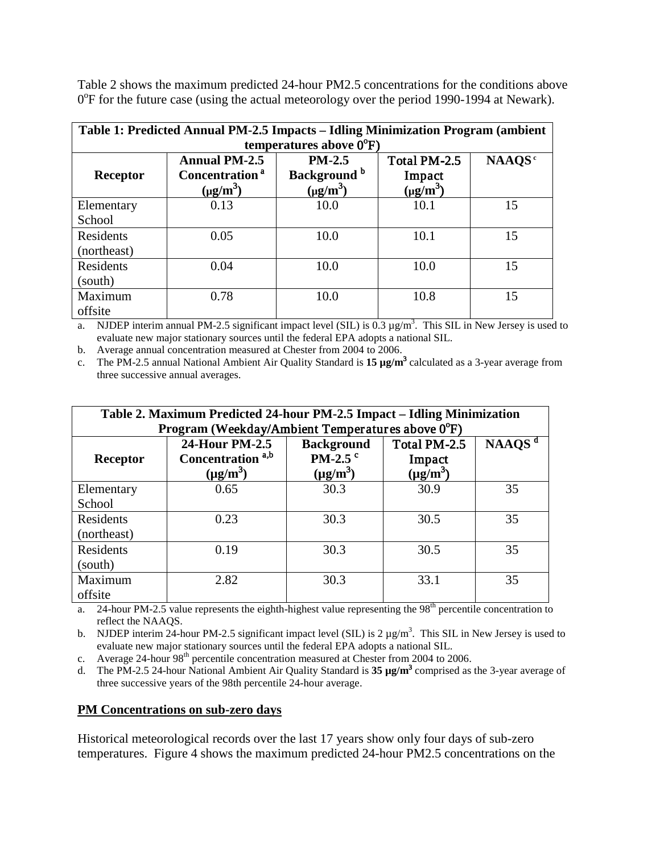Table 2 shows the maximum predicted 24-hour PM2.5 concentrations for the conditions above 0<sup>o</sup>F for the future case (using the actual meteorology over the period 1990-1994 at Newark).

| Table 1: Predicted Annual PM-2.5 Impacts - Idling Minimization Program (ambient |                                                                     |                                                      |                                                     |                    |  |
|---------------------------------------------------------------------------------|---------------------------------------------------------------------|------------------------------------------------------|-----------------------------------------------------|--------------------|--|
| temperatures above $0^{\circ}F$ )                                               |                                                                     |                                                      |                                                     |                    |  |
| <b>Receptor</b>                                                                 | <b>Annual PM-2.5</b><br>Concentration <sup>a</sup><br>$(\mu g/m^3)$ | $PM-2.5$<br>Background <sup>b</sup><br>$(\mu g/m^3)$ | Total PM-2.5<br>Impact<br>$(\mu$ g/m <sup>3</sup> ) | NAAQS <sup>c</sup> |  |
| Elementary<br>School                                                            | 0.13                                                                | 10.0                                                 | 10.1                                                | 15                 |  |
| Residents<br>(northeast)                                                        | 0.05                                                                | 10.0                                                 | 10.1                                                | 15                 |  |
| Residents<br>(south)                                                            | 0.04                                                                | 10.0                                                 | 10.0                                                | 15                 |  |
| Maximum<br>offsite                                                              | 0.78                                                                | 10.0                                                 | 10.8                                                | 15                 |  |

a. NJDEP interim annual PM-2.5 significant impact level (SIL) is  $0.3 \mu g/m<sup>3</sup>$ . This SIL in New Jersey is used to evaluate new major stationary sources until the federal EPA adopts a national SIL.

b. Average annual concentration measured at Chester from 2004 to 2006.

c. The PM-2.5 annual National Ambient Air Quality Standard is **15 µg/m**<sup>3</sup> calculated as a 3-year average from three successive annual averages.

| Table 2. Maximum Predicted 24-hour PM-2.5 Impact – Idling Minimization<br>Program (Weekday/Ambient Temperatures above 0°F) |                                                                 |                                                        |                                         |           |
|----------------------------------------------------------------------------------------------------------------------------|-----------------------------------------------------------------|--------------------------------------------------------|-----------------------------------------|-----------|
| <b>Receptor</b>                                                                                                            | 24-Hour PM-2.5<br>Concentration <sup>a,b</sup><br>$(\mu g/m^3)$ | <b>Background</b><br>PM-2.5 $\degree$<br>$(\mu g/m^3)$ | Total PM-2.5<br>Impact<br>$(\mu g/m^3)$ | NAAQS $d$ |
| Elementary                                                                                                                 | 0.65                                                            | 30.3                                                   | 30.9                                    | 35        |
| School                                                                                                                     |                                                                 |                                                        |                                         |           |
| Residents                                                                                                                  | 0.23                                                            | 30.3                                                   | 30.5                                    | 35        |
| (northeast)                                                                                                                |                                                                 |                                                        |                                         |           |
| Residents                                                                                                                  | 0.19                                                            | 30.3                                                   | 30.5                                    | 35        |
| (south)                                                                                                                    |                                                                 |                                                        |                                         |           |
| Maximum                                                                                                                    | 2.82                                                            | 30.3                                                   | 33.1                                    | 35        |
| offsite                                                                                                                    |                                                                 |                                                        |                                         |           |

a. 24-hour PM-2.5 value represents the eighth-highest value representing the  $98<sup>th</sup>$  percentile concentration to reflect the NAAQS.

b. NJDEP interim 24-hour PM-2.5 significant impact level (SIL) is  $2 \mu g/m^3$ . This SIL in New Jersey is used to evaluate new major stationary sources until the federal EPA adopts a national SIL.

c. Average 24-hour 98<sup>th</sup> percentile concentration measured at Chester from 2004 to 2006.

d. The PM-2.5 24-hour National Ambient Air Quality Standard is **35 µg/m**<sup>3</sup> comprised as the 3-year average of three successive years of the 98th percentile 24-hour average.

#### **PM Concentrations on sub-zero days**

Historical meteorological records over the last 17 years show only four days of sub-zero temperatures. Figure 4 shows the maximum predicted 24-hour PM2.5 concentrations on the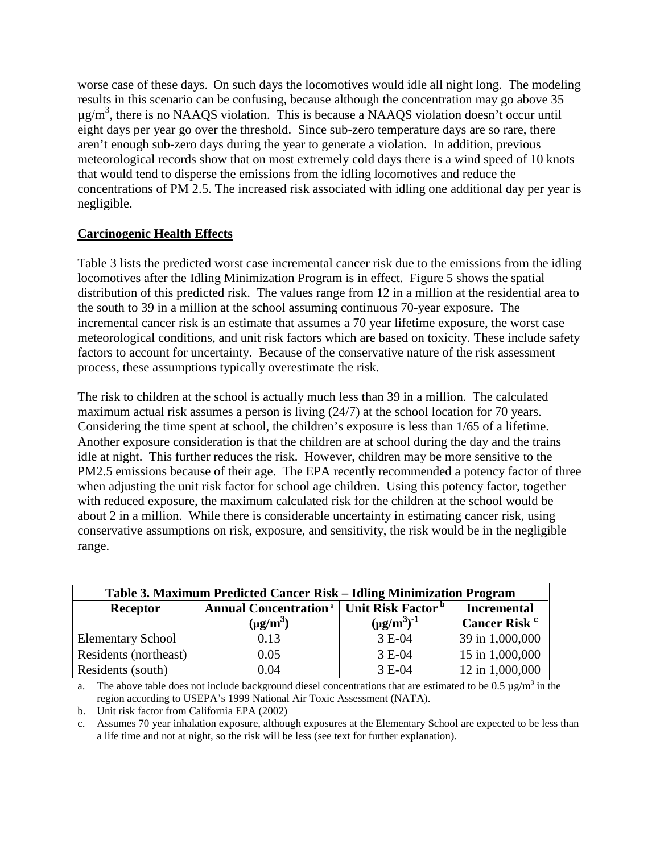worse case of these days. On such days the locomotives would idle all night long. The modeling results in this scenario can be confusing, because although the concentration may go above 35  $\mu$ g/m<sup>3</sup>, there is no NAAQS violation. This is because a NAAQS violation doesn't occur until eight days per year go over the threshold. Since sub-zero temperature days are so rare, there aren't enough sub-zero days during the year to generate a violation. In addition, previous meteorological records show that on most extremely cold days there is a wind speed of 10 knots that would tend to disperse the emissions from the idling locomotives and reduce the concentrations of PM 2.5. The increased risk associated with idling one additional day per year is negligible.

# **Carcinogenic Health Effects**

Table 3 lists the predicted worst case incremental cancer risk due to the emissions from the idling locomotives after the Idling Minimization Program is in effect. Figure 5 shows the spatial distribution of this predicted risk. The values range from 12 in a million at the residential area to the south to 39 in a million at the school assuming continuous 70-year exposure. The incremental cancer risk is an estimate that assumes a 70 year lifetime exposure, the worst case meteorological conditions, and unit risk factors which are based on toxicity. These include safety factors to account for uncertainty. Because of the conservative nature of the risk assessment process, these assumptions typically overestimate the risk.

The risk to children at the school is actually much less than 39 in a million. The calculated maximum actual risk assumes a person is living (24/7) at the school location for 70 years. Considering the time spent at school, the children's exposure is less than 1/65 of a lifetime. Another exposure consideration is that the children are at school during the day and the trains idle at night. This further reduces the risk. However, children may be more sensitive to the PM2.5 emissions because of their age. The EPA recently recommended a potency factor of three when adjusting the unit risk factor for school age children. Using this potency factor, together with reduced exposure, the maximum calculated risk for the children at the school would be about 2 in a million. While there is considerable uncertainty in estimating cancer risk, using conservative assumptions on risk, exposure, and sensitivity, the risk would be in the negligible range.

| Table 3. Maximum Predicted Cancer Risk – Idling Minimization Program |                                                                          |                    |                          |  |
|----------------------------------------------------------------------|--------------------------------------------------------------------------|--------------------|--------------------------|--|
| Receptor                                                             | <b>Annual Concentration</b> <sup>ª</sup>   Unit Risk Factor <sup>b</sup> |                    | <b>Incremental</b>       |  |
|                                                                      | $(\mu g/m^3)$                                                            | $(\mu g/m^3)^{-1}$ | Cancer Risk <sup>c</sup> |  |
| <b>Elementary School</b>                                             | 0.13                                                                     | 3 E-04             | 39 in 1,000,000          |  |
| Residents (northeast)                                                | 0.05                                                                     | 3 E-04             | 15 in 1,000,000          |  |
| Residents (south)                                                    | 0.04                                                                     | 3 E-04             | 12 in 1,000,000          |  |

a. The above table does not include background diesel concentrations that are estimated to be  $0.5 \mu g/m^3$  in the region according to USEPA's 1999 National Air Toxic Assessment (NATA).

b. Unit risk factor from California EPA (2002)

c. Assumes 70 year inhalation exposure, although exposures at the Elementary School are expected to be less than a life time and not at night, so the risk will be less (see text for further explanation).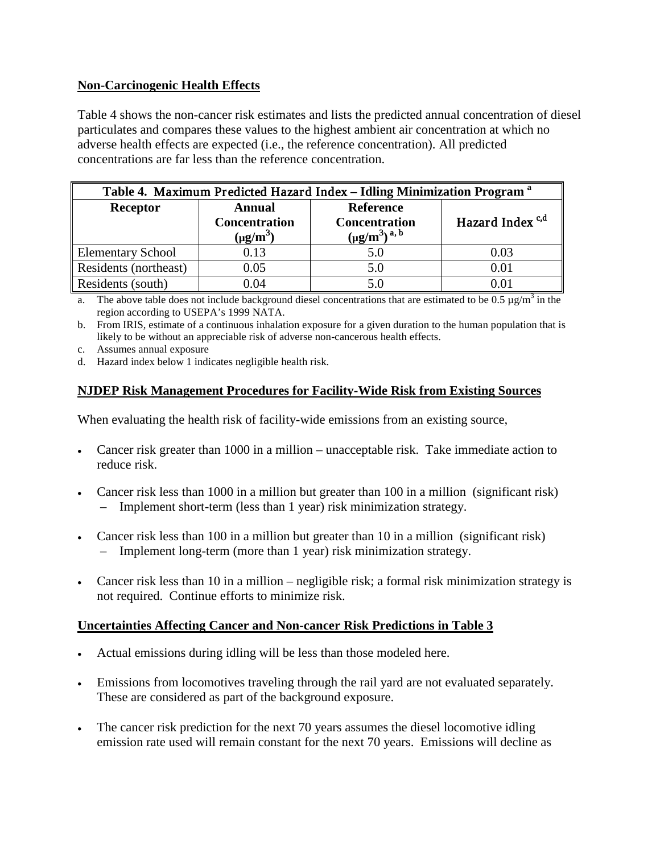# **Non-Carcinogenic Health Effects**

Table 4 shows the non-cancer risk estimates and lists the predicted annual concentration of diesel particulates and compares these values to the highest ambient air concentration at which no adverse health effects are expected (i.e., the reference concentration). All predicted concentrations are far less than the reference concentration.

| Table 4. Maximum Predicted Hazard Index - Idling Minimization Program <sup>a</sup> |                                                        |                                                                  |                             |  |
|------------------------------------------------------------------------------------|--------------------------------------------------------|------------------------------------------------------------------|-----------------------------|--|
| Receptor                                                                           | <b>Annual</b><br><b>Concentration</b><br>$(\mu g/m^3)$ | <b>Reference</b><br><b>Concentration</b><br>$(\mu g/m^3)^{a, b}$ | Hazard Index <sup>c,d</sup> |  |
| <b>Elementary School</b>                                                           | 0.13                                                   | 5.0                                                              | 0.03                        |  |
| Residents (northeast)                                                              | 0.05                                                   | 5.0                                                              | 0.01                        |  |
| Residents (south)                                                                  | 0.04                                                   | 5.0                                                              |                             |  |

a. The above table does not include background diesel concentrations that are estimated to be 0.5  $\mu$ g/m<sup>3</sup> in the region according to USEPA's 1999 NATA.

b. From IRIS, estimate of a continuous inhalation exposure for a given duration to the human population that is likely to be without an appreciable risk of adverse non-cancerous health effects.

- c. Assumes annual exposure
- d. Hazard index below 1 indicates negligible health risk.

# **NJDEP Risk Management Procedures for Facility-Wide Risk from Existing Sources**

When evaluating the health risk of facility-wide emissions from an existing source,

- Cancer risk greater than 1000 in a million unacceptable risk. Take immediate action to reduce risk.
- Cancer risk less than 1000 in a million but greater than 100 in a million (significant risk) – Implement short-term (less than 1 year) risk minimization strategy.
- Cancer risk less than 100 in a million but greater than 10 in a million (significant risk) – Implement long-term (more than 1 year) risk minimization strategy.
- Cancer risk less than 10 in a million negligible risk; a formal risk minimization strategy is not required. Continue efforts to minimize risk.

# **Uncertainties Affecting Cancer and Non-cancer Risk Predictions in Table 3**

- Actual emissions during idling will be less than those modeled here.
- Emissions from locomotives traveling through the rail yard are not evaluated separately. These are considered as part of the background exposure.
- The cancer risk prediction for the next 70 years assumes the diesel locomotive idling emission rate used will remain constant for the next 70 years. Emissions will decline as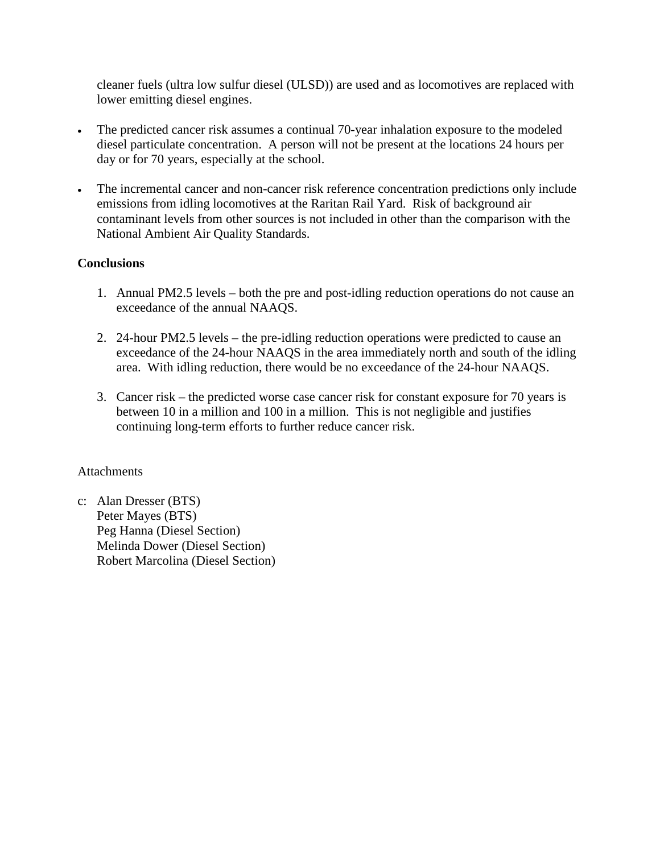cleaner fuels (ultra low sulfur diesel (ULSD)) are used and as locomotives are replaced with lower emitting diesel engines.

- The predicted cancer risk assumes a continual 70-year inhalation exposure to the modeled diesel particulate concentration. A person will not be present at the locations 24 hours per day or for 70 years, especially at the school.
- The incremental cancer and non-cancer risk reference concentration predictions only include emissions from idling locomotives at the Raritan Rail Yard. Risk of background air contaminant levels from other sources is not included in other than the comparison with the National Ambient Air Quality Standards.

# **Conclusions**

- 1. Annual PM2.5 levels both the pre and post-idling reduction operations do not cause an exceedance of the annual NAAQS.
- 2. 24-hour PM2.5 levels the pre-idling reduction operations were predicted to cause an exceedance of the 24-hour NAAQS in the area immediately north and south of the idling area. With idling reduction, there would be no exceedance of the 24-hour NAAQS.
- 3. Cancer risk the predicted worse case cancer risk for constant exposure for 70 years is between 10 in a million and 100 in a million. This is not negligible and justifies continuing long-term efforts to further reduce cancer risk.

# **Attachments**

c: Alan Dresser (BTS) Peter Mayes (BTS) Peg Hanna (Diesel Section) Melinda Dower (Diesel Section) Robert Marcolina (Diesel Section)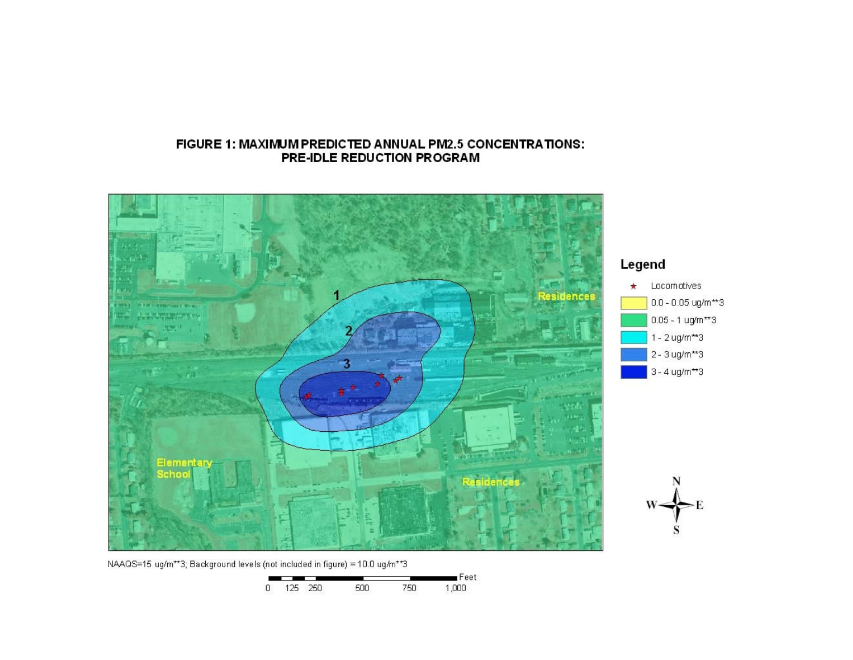#### FIGURE 1: MAXIMUM PREDICTED ANNUAL PM2.5 CONCENTRATIONS: PRE-IDLE REDUCTION PROGRAM



NAAQS=15 ug/m\*\*3; Background levels (not included in figure) = 10.0 ug/m\*\*3

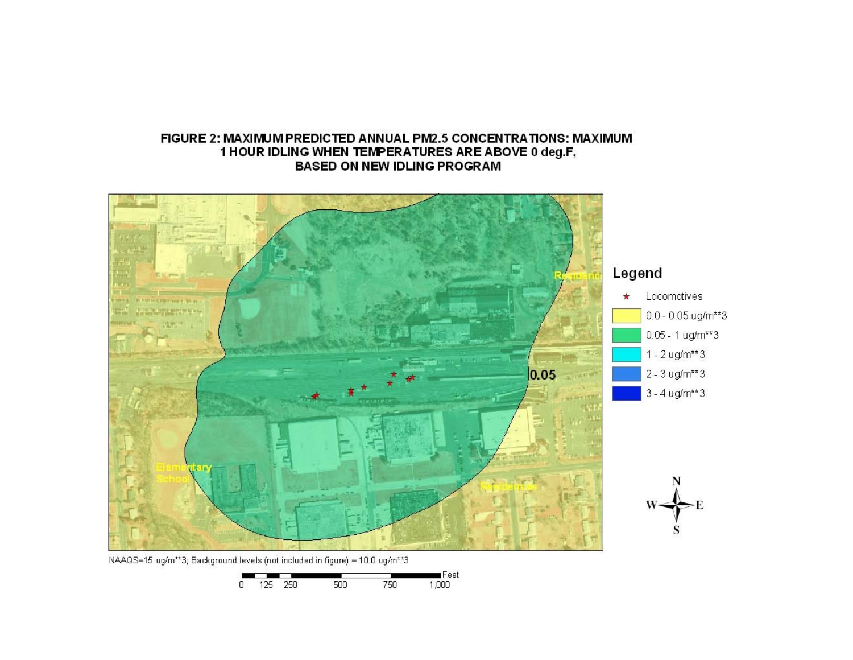#### FIGURE 2: MAXIMUM PREDICTED ANNUAL PM2.5 CONCENTRATIONS: MAXIMUM 1 HOUR IDLING WHEN TEMPERATURES ARE ABOVE 0 deg.F, **BASED ON NEW IDLING PROGRAM**

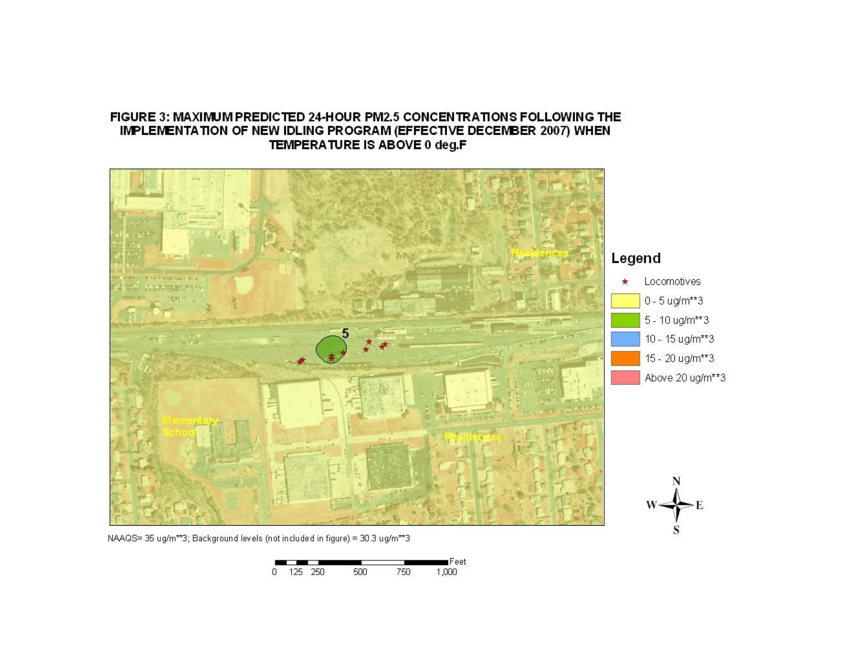#### FIGURE 3: MAXIMUM PREDICTED 24-HOUR PM2.5 CONCENTRATIONS FOLLOWING THE IMPLEMENTATION OF NEW IDLING PROGRAM (EFFECTIVE DECEMBER 2007) WHEN TEMPERATURE IS ABOVE 0 deg.F



NAAQS=35 ug/m\*\*3; Background levels (not included in figure) = 30.3 ug/m\*\*3

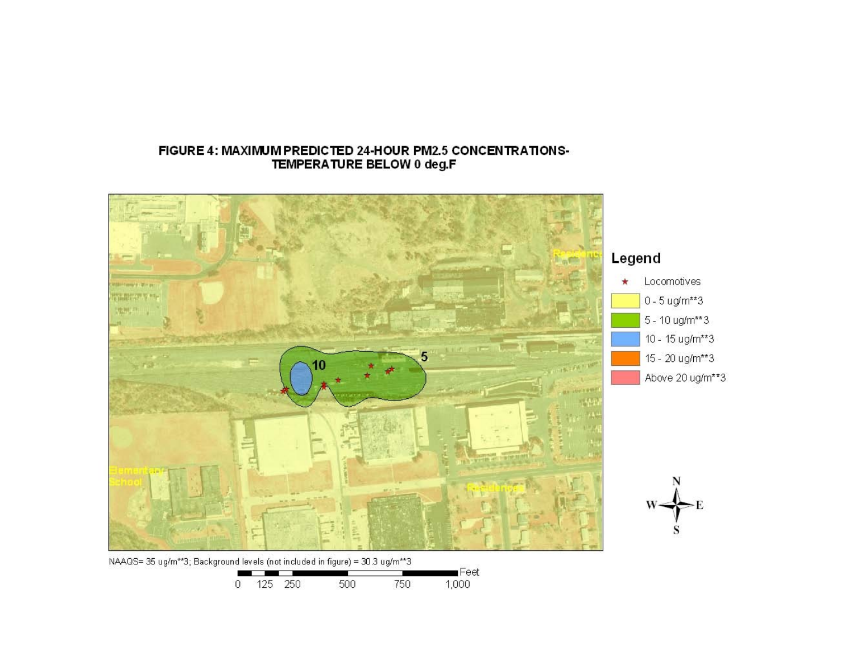# Legend Locomotives  $\star$ Stringer (Minian) WEBWEY'S HA  $0 - 5$  ug/m\*\*3 沈州 5 - 10 ug/m\*\*3 10 - 15 ug/m\*\*3 15 - 20 ug/m\*\*3 FW FILMPS Above 20 ug/m\*\*3 **CEBM** NAAQS= 35 ug/m\*\*3; Background levels (not included in figure) = 30.3 ug/m\*\*3  $\blacksquare$ Feet and the state of the state of the state of

750

1,000

#### FIGURE 4: MAXIMUM PREDICTED 24-HOUR PM2.5 CONCENTRATIONS-TEMPERATURE BELOW 0 deg.F

0 125 250

500